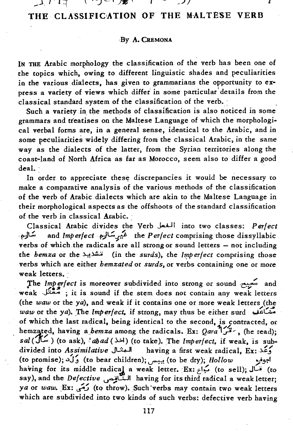\_j, <sup>I</sup>- <sup>l</sup>l' ~. *-:J* ~- , */'It-' ,j* <sup>I</sup>*<sup>t</sup>*

# **THE CLASSIFICoATION OF THE MALTESE VERB**

### By A. CREMONA

IN THE Arabic morphology the classification of the verb has been one of the topics which, owing to different linguistic shades and peculiarities in the various dialects, has given to grammarians the opportunity to express a variety of views which differ in some particular details from the classical standard system of the classification of the verb.

Such a variety in the methods of classification is also noticed in some grammars and treatises on the Maltese Language of which the morphologi~ cal verbal forms are, in a general sense, identical to the Arabic, and in some peculiarities widely differing from the classical Arabic, in the same way as the dialects of the latter, from the Syrian territories along the coast~land of North Africa as far as Morocco, seem also to differ a good deal. -

In order to appreciate these discrepancies it would be necessary to make a comparative analysis of the various methods of the classification of the verb of Arabic dialects which are akin to the Maltese Language in their morphological aspects as the offshoots of the standard classification of the verb in classical Arabic. '

Classical Arabic divides the Verb j....lJ1 into two classes: *Perfect*  -E>J~ and *Imperfectf';}L:.d* the *Perfect* comprising those dissyllabic verbs of which the radicals are all strong or sound letters  $-$  not including the *hemza* or the *indivity* (in the *surds*), the *Imperfect* comprising those verbs which are either *hemzated* or *surds,* or verbs containing one or more weak letters. '

The *Imperfect* is moreover subdivided into strong or sound محبح and weak  $~$  ; it is sound if the stem does not contain any weak letters (the *waw* or the *ya*), and weak if it contains one or more weak letters (the *waw* or the *ya).* :The *Imperfect.* if strong, may thus be either surd ~U! of which the last radical, being identical to the second, is contracted, or hemzated, having *a\_bemza* among the radicals. Ex: *Qava*<sup>7</sup>/<sup>32</sup>, (he read); *sal* (:.JC.. ) (to ask), ! *ab ad* (~) (to take). The *Imperfect,* if weak, is su~ divided into *Assimilative* **JL: having a first weak radical, Ex:** (to promise); .>J~ (to bear children); ~ (to be dry); *Hollow* /"~ having for its middle radical a weak letter. Ex: بَاع (to sell); قَسَال (to say), and the *Defective* ~\l.J1 having for its third radical a weak letter; **"" ."** ~ <sup>0</sup> *ya* or *waw*. Ex: *Such* verbs may contain two weak letters which are subdivided into two kinds of such verbs: defective verb having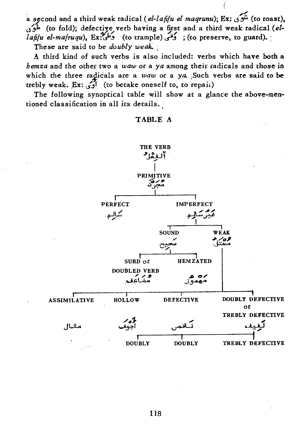a second and a third weak radical *(el-lafifu el maqrunu)*; Ex: شَوَى (to roast). u~ (to fold); defecti~e verb having a first and a third weak radical *(elo lafifu el-mafruqu*), Ex: وَعَلَىٌّ (to trample) وَعَلَىٌّ ; (to preserve, to guard).

(

These are said to be *doubly weak.* 

A third kind of such verbs *is* also included: verbs which have both a *hemza* and the other two a *waw* or a *ya* among their radicals and those in which the three radicals are a *waw* or a ya. Such verbs are said to be trebly weak. Ex: واوج, (to betake oneself to, to repair)

The following synoptical table will show at a glance the above-mentioned classification in all its details.

## TABLE A

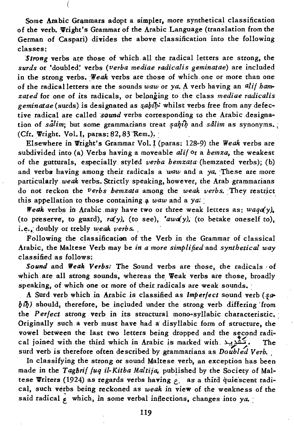Some Arabic Grammars adopt a simpler, more synthetical classification of the verb. Wright's Grammar of the Arabic Language (translation from the German of Caspari} divides the above classification into the following classes:

*Strong verbs are those of which all the radical letters are strong, the surds* or 'doubled~ verbs *{verba mediae radicalis geminatae}* are included in the strong verbs. Weak verbs are those of which one or more than one of the radical letters are the sounds waw or ya. A verb having an *alif hamzated* for one of its radicals, or belonging to the class *mediae radicalis*  geminatae (surds) is designated as *sabib*; whilst verbs free from any defective radical are called *sound* verbs corresponding to the Arabic designation of *salim*; but some grammarians treat *sahib* and *salim* as synonyms.; (Cfr. Wright. Vol. I, paras: 82, 83 Rem.).

Elsewhere in Wright's Grammar Vol. I (paras: 128-9) the *Weak* verbs are subdivided into (a) Verbs having a moveable *alif* or a *hemza*, the weakest of the gutturals, especially styled *verba hemzata'* {hemzated verbs}; {b} and verbs having among their radicals a *waw* and a *ya*. These are more particularly *weak* verbs. Strictly speaking, however, the Arab grammarians do not reckon the *verbsbemzata* among the *weak verbs.* :They restrjct this appellation to those containing a *waw* and a  $ya$ .

*Weak* verbs in Arabic may have two or three weak letters as: waqa(y). (to preserve, to guard),  $r a(y)$ , (to see),  $' a w a(y)$ , (to betake oneself to), i.e., doubly or trebly *weak verbs.* 

Following the classification of the Verb in the Grammar of classical Arabic, the Maltese Verb may be *in a more simplified* and *synthetical way*  classified as follows:

Sound and Weak Verbs: The Sound verbs are those, the radicals of which are all strong sounds, whereas the Weak verbs are those, broadly speaking, of which one or more of their radicals are weak sounds.

A Surd verb which in Arabic is classified as *Imperfect* sound verb (sa*biQ)* should, therefore, be included under the strong verb differing 'from the *Perfect* strong verb in its structural mono-syllabic characteristic. Originally such. a verb must have had a' disyllabic form of structure, the vowel between the last two letters being dropped and the second radio cal joined with the third which in Arabic is marked with.  $\mathcal{L}_{\text{max}}$ . The surd verb is therefore often described by grammarians as *Doubled Verb.* 

In classifying the strong or sound Maltese verb, an exception has been made in the *Tagbrif fuq il-Kitba Maltija*, published by the Society of Maltese Writers (1924) as regards verbs having *c*, as a third quiescent radical, such verbs being reckoned as *weak* in view of the weakness of the said radical  $\epsilon$  which, in some verbal inflections, changes into ya.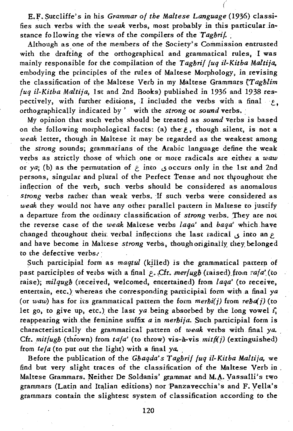E.F.~utcliffe's in his *Grammar of the Maltese Language* (1936) classifies such verbs with the *weak* verbs, most probably in this particular .instance following the views of the compilers of the *Tagbril*.

(

Although as one of the members of the Society's Commission entrusted with the drafting of the orthographical and grammatical rules, I was mainly responsible for the compilation of the *Tagbrif fuq* il~Kitba *Maltija.*  embodying the principles of the rules of Maltese Morphology, in revising the classification of the Maltese Verb in my Maltese Grammars *(Tagblim*) *fuq* il~Kitba *Maltija,* 1st and 2nd Books) published in 1936 and 1938 respectively, with further editions, I included the verbs with a final  $\varphi$ . orthographic ally indicated by' with the *strong* or *sound* verbs, :

My opinion that such verbs should be treated as *sound* verbs is based on the following morphological facts: (a) the: *t,* though silent, is not a *weak* letter, though.in Maltese it may be regarded as the weakest among the *strong* sounds; grammarians of the Arabic language define the weak verbs as strictly those of which one or more radicals are either a *waw*  or  $ya$ ; (b) as the permutation of  $\epsilon$  into  $\zeta$  occurs only in the 1st and 2nd persons, singular and plural of the Perfect Tense and not throughout the inflection of the verb, such verbs should be considered as anomalous strong verbs rather than weak verbs. If such verbs were considered as *weak* they would not have any other parallel pattern in Maltese to justify a departure from the ordinary classification of *strong* verbs. They are not the reverse case of the *weak* Mahese verbs *laqa'* and *baqa'* which have changed throughout their verbal inflections the last radical  $\zeta$  into an  $\zeta$ and have become in Maltese *strong* verbs, though originally; they, belonged to the defective verbs.'

Such participial form as *maqtul* (killed) is the grammatical pattern of past participles of verbs with a final  $\epsilon$ . Cfr. *merfugh* (raised) from *rafa'* (to raise); *milqugb* (received, welcomed, emertained) from *laqa'* (to receive, entertain, etc.) whereas the corresponding participial form with a final ya (or *waw*) has for its grammatical pattern the form  $\text{merbi}(i)$  from  $\text{refid}(i)$  (to let go, to give up, etc.) the last *ya* being absorbed by the long vowel  $i<sub>s</sub>$ reappearing with the feminine suffix *a* in *merbija*. Such participial form is characteristically the grammatical pattern of *weak* verbs with final *ya.*  Cfr.  $mithupb$  (thrown) from  $tafa'$  (to throw) vis-a-vis  $mith(j)$  (extinguished) from *tefa* (to put out the light) with a final ya.

Before the publication of the *Gbaqda's Tagbrif fuq il-Kitba Maltija,* we find but very slight traces of the classification of the Maltese Verb in . Maltese Grammars. Neither De Soldanis' grammar and M.A. Yassalli's two grammars (Latin and Italian editions) nor Panzavecchia's and F. Vella's grammars contain the slightest system of classification according to the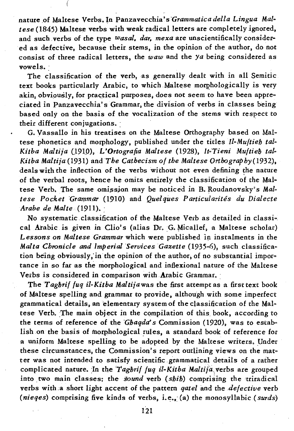nature of Maltese Verbs. In Panzavecchia's Grammatica della Lingua Mal*tese* (1845) Maltese verbs with weak radical letters are completely ignored, and such verbs of the type *wasal, dar, mexa* are unscientifically considered as defective, because their stems, in the opinion of the author, do not consist of three radical letters, the *waw* and the *ya* being considered as vowels.

The classification of the verb, as generally dealt with in all Semitic text books particularly Arabic, to which Maltese morphologically is very akin, obviously, for practical purposes, does not seem to have been appreciated in Panzavecchia's Grammar, the division of verbs in classes being based only on the basis of the vocalization of the stems with respect to their different conjugations. :

G. Vassallo in his treatises on the Maltese Orthography based on Maltese phonetics and morphology, published under the titles *Il-Muftieh tal-Kitba Maltija* (J9tO), *L'Ortografia Maltese* (1928), *Jt-Tieni Muftiel) tal-Kitba Maltija* (1931) and *The Cathecism of the Maltese Orthography* (1932), deals with the inflection of the verbs without not even defining the nature of the verbal roots, hence he omits entirely the classification of the Maltese Verb. The same omission may be noticed in B. Roudanovsky's *Maltese Pocket 'Grammar* (1910) and *Quelques Particularites du Dialecte Arabe de Malte* (1911).:

No systematic classificatipn of the Maltese Verb as detailed in classical Arabic is given in Clio's (alias Dr. G. Micallef, a Maltese scholar) *Lessons on Maltese Grammar* which were published in instalments in the *Malta Chronicle and Imperial Services Gazette* (1935-6), such classification being obviously, in the opinion of the author, of no substantial importance in so far as the morphological and inflexional nature of the Maltese Vetbs *is* considered in comparison with Arabic Grammar. :

The *Taghrif fuq il-Kitba Maltija* was the first attempt as a first text book of Maltese spelling and grammar to provide, although with some imperfect grammatical details, an elementary system of the classification of the Maltese Verb. The main object in the compilation of this book, according to the terms of reference of the *Ghagda's* Commission (1920), was to establish on the basis of morphological rules, a standard book of reference for a uniform Maltese spelling to be adppted by the Maltese writers. Under these circumstances, the Commission's report outlining views on the matter was not intended to satisfy scientific grammatical details of a rather complicated nature. In the *Taghrif fuq il-Kitba Maltija* verbs are grouped into. two main classes; the sound verb *(shib)* comprising the uiradical verbs with.a short light accent of the pattern *qatel* and the *defective* verb *(nieqes)* comprising five kinds of verbs, i.e., (a) the monosyllabic *(surds)*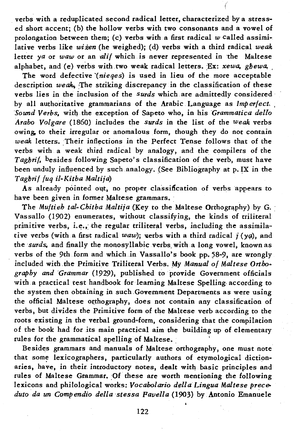verbs with a reduplicated second radical letter, characterized by a stressed short accent; (b) the hollow verbs with two consonants and a vowel of prolongation between them; (c) verbs with a first radical *w* called assimilative verbs like *wizen* (he weighed); (d) verbs with a third radical weak letter *ya* or *waw* or an *alif* which is never represented in the Maltese alphabet, and (e) verbs with two weak radical letters. Ex: *xewa*, ghewa.

(

The word defective *'(nieqes)* is used in lieu of the more acceptable description *weak,* The striking discrepancy in the classification of these verbs lies in the inclusion of the *Surds* which are admittedly considered' by all authoritative grammarians of the Arabic Language as *Imperfect, , Sound Verbs, with the exception of Sapeto who, in his Grammatica dello Arabo Volgare* (1860) includes the *surds* in the list of the *weak* verbs owing, to their irregular or anomalous form, though they do not contain *weak* letters. Their inflections in the Perfect Tense follows that of the verbs with a weak third radical by analogy, and the compilers of the *Tagbrif.* besides following Sapeto's classification of the verb, must have been unduly influenced by such analogy. {See Bibliography at p. IX in the *Tagbrif fuq il-Kitba Maltija*)

As already pointed out, no proper classification of verbs appears to have been given in former Maltese grammars.

The *Multieh tal-Chitba Maltija* (Key to the Maltese Orthography) by G. Vassallo (1902) enumerates, without classifying, the kinds of triliteral primitive verbs, i.e., the regular triliteral verbs, including the assimilative verbs (with a first radical *waw*); verbs with a third radical j (yq), and the *surds*, and finally the monosyllabic verbs with a long vowel, known as verbs of the 9th form and which in Vassallo's book pp. 58-9, are wrongly included with the Primitive Triliteral Verbs. My *Manual of Maltese Orthoe graphy and 'Grammar* (1929), published to provide Government officials with a practical test handbook for learning Maltese Spelling according to the system then obtaining in such ,Government Departments as were using the official Maltese orthography, does not contain any classification of verbs, but divides the Primitive form of the Maltese verb according to the roots existing in the verbal ground-form, considering that the compilation of the book had for its main practical aim the building up of elementary rules for the grammatical spelling of Maltese.

Besides grammars and manuals of Maltese orthography, one must note that some lexicographers, particularly authors of etymological dictionaries, have, in their introductory notes, dealt with basic principles and rules of Maltese Grammar. Of these are worth mentioning the following lexicons and philological works: *Vocabolario della Lingua Maltese preceduto da un Compendio dellastessa Favella* (1903) *by* Antonio Emanuele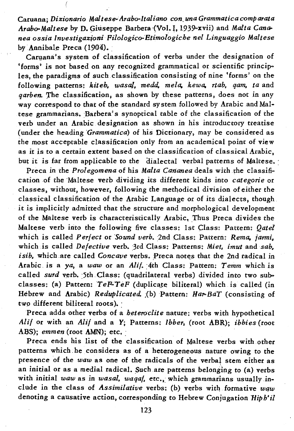Caruana; Dizionario Maltese-Arabo-Italiano con una Grammatica comparata Arabo-Maltese by D. Giuseppe Barbera (Vol. I, 1939-xvii) and *Malta Cananea ossia lnvestigazioni* Filologico-Etimol~giche *nel Linguaggio Maltese*  by Annibale Preca (1904).

Caruana's system of classification of verbs under the designation of 'forms' is not based on any recognized grammatical or scientific principo les, the paradigms of such classification consisting of nine 'forms' on the following patterns: *kiteb, wasa/. medd, mela, kewa, rtab. qam, ta* and *garben*. The classification, as shown by these patterns, does not in any way correspond to that of the standard system followed by Arabic and Maltese grammarians. Barbera's synoptical table of the classification of the verb under an Arabic designation as shown in his introductory treatise (under the heading *'Grammatica)* of his Dictionary, may be considered as the most acceptable classification only from an academical point of view as it is to a certain extent based on the classification of classical Arabic, but it is far from applicable to the dialectal verbal patterns of Maltese.

Preca in the *Prolegomena* of his *Malta Cananea* deals with the classifio cation of the Maltese verb dividing its different kinds into *categorie* or classes, without, however, following the methodical division of either the classical classification of the Arabic Language or of its dialects, though it is implicitly admitted that the structure and morphological development of the Maltese verb is characteristically Arabic. Thus Preca divides the Maltese verb into the following five classes: 1st Class: Pattern: *Qatel*  which is called *Perfect* or *Sound verb.* 2nd Class: Pattern: *Rema, jarmi,*  which.is called *Defective* verb. :3rd Class: Patterns: *Miet. imut* and *sab. isib*, which are called *Concave* verbs. Preca notes that the 2nd radical in Arabic is a ya, a waw or an *Alif.* 4th Class: Pattern: Temm which is called *surd* verb. 5th Class: (quadrilateral verbs) divided into two subclasses: (a) Pattern:  $TeFTeF$  (duplicate biliteral) which is called (in Hebrew and Arabic) *Reduplicated.* (b) Pattern: *Har-BaT* (consisting of two different biliteral roots).

Preca adds other verbs of a *heteroclite* nature: verbs with hypothetical *Alif* or with an *Alif* and a *Y;* Patterns: *lbber,* (root ABR); *ibbies* (root ABS); *emmen* (root AMN); etc.

Preca ends his list of the classification of Maltese verbs with other patterns which, he considers as of a heterogeneous nature owing to the presence of the *waw* as one of the radicals of the verbal stem either as an initial or as a medial radical. Such are patterns belonging to (a) verbs with initial waw as in wasal, waqaf, etc., which grammarians usually include in the class of *Assimilative* verbs: (b) verbs with formative waw denoting a causative action, corresponding to Hebrew Conjugation *Hiph'il*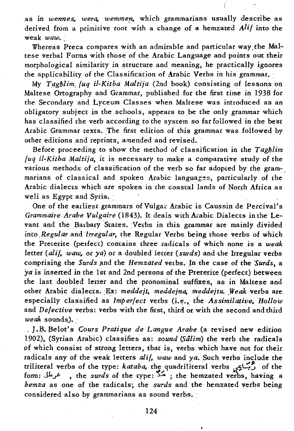as in wennes, wera, wemmen, which grammarians usually describe as derived from a primitive root with a change of a hemzated *Alif* into the weak *waw.\_,* 

Whereas Preca compares with an admirable and particular way the Maltese verbal Forms with those of the Arabic Language and points out their morphological similarity *in* structure and meaning, he practically ignores the applicability of the Classification of Arabic Verbs in his grammar. :

My *Tagblim fug il-Kitba Maltija* (2nd book) consisting of lessons on Maltese Ortography and Grammar, published for the first time in 1938 for the Secondary and Lyceum Classes when Maltese was introduced as an obligatory subject *in* the schools, appears to. be the only grammar which has classified the verb according to the system so far followed in the best Arabic Grammar texts. The first edition of this grammar was followed by other editions and reprints, amended and revised, .

Before proceeding to show the method of classification in the *Tagblim fuq il-Kitba Maltija*, it is necessary to make a comparative study of the various methods of classification of the verb so far adopted by the grammarians of classical and spoken Arabic languages, particularly of the Arabic dialects which are spoken in the coastal lands of North Africa as well as Egypt and Syria.

One of the earliest grammars of Vulgaa Arabic is Caussin de Percival's *Grammaire Arabe Vulgaire* (1843). It deals with Arabic Dialects in the Levant and the Barbary States. Verbs in this grammar are mainly divided into *Regular* and *Irregular*, the Regular Verbs being those verbs of which the Preterite (perfect) contains three radicals of which none is a *weak* letter *(alif. waw, or ya)* or a doubled letter *(surds)* and the Irregular verbs comprising the *Surds* and the *Hemzated* verbs. In the case of the *Surds*, a *ya* is inserted in the 1st and 2nd persons of the Preterite (perfect) between the last doubled letter and the pronominal suffixes, as in Maltese and other Arabic dialects. Ex: *meddejt, meddejna, meddejtu. Weak* verbs are especially classified as *Imperfect* verbs (i.e., the *Assimilative*, *Hollow* and *Defective* verbs: verbs with the first, third or with the second and third *weak* sounds).

. J.B. Belot's *Cours Pratique de Langue Arabe* (a revised new edition 1902), (Syrian Arabic) classifies as: *sound (Salim)* the verb the radicals pf which consist of strong letters, that *is,* verbs which have not for their radicals any of the weak letters *alif. waw* and *ya.* Such verbs include the triliteral verbs of the type: *kataba*, the quadriliteral verbs ويجادى. of the form:JbJ • the *surds* of the type:.~ » the hemzated verbs, having a *hemza* as one of the radicals; the *surds* and the hemzated verbs being considered also by grammarians as sound verbs.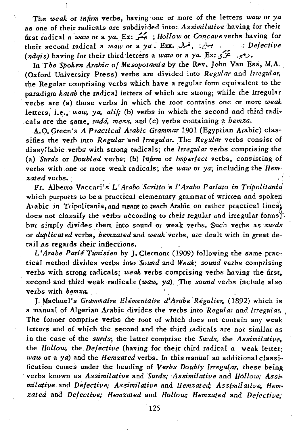The *weak* or *infirm* verbs, having one or more of the letters *waw* or *ya*  as one of their radicals are subdivided into: *Assimilative* having for their first radical a *waw* or a *ya*. **Ex: يَسْمَلُ ;** *Hollow* or *Concave* verbs having for<br>their second radical a *waw* or a *ya*. **Exx.**  $\int_1^1$ ,  $\int_2^1$ ,  $\int_1^1$ , *Defective* their second radical a *wa"-w* or a *ya* .En: •. J\-\*. *;t'--t,* .. *Defective* , " *(ntlqis)* having for their third letters a *waw* or a *ya.* ,Ex: *-Sf* <5'"J.

In *The Spoken Arabic of Mesopotamia* by the Rev. John Van Ess, M.A. (Oxford University Press) verbs are divided into *Regular* and *Irregular*, the Regular comprising verbs which have a regular form equivalent to the paradigm *katab* the radical letters of which are strong; while the Irregular . verbs are (a) those verbs *in* which the root contains one or more *weak*  letters, i.e., *waw, ya, alif;* (b) verbs in which the second and third radicals are the same, *radd*, mess, and (c) verbs containing a *hemza*.

A.O. Green's *A Practical Arabic Grammar* 1901 (Egyptian Arabic) claso sifies the verb into *Regular* and *Irregular*. The *Regular* verbs consist of dissyllabic verbs with strong radicals; the *Irregular* verbs comprising the (a) *Surds* or *Do ubi ed* verbs; (b) *Infirm* or *Imp erfecl* verbs, consisting of verbs with one or more weak radicals; the waw or ya; including the *Hemzated* verbs.

Fr. Alberto Vaccari's L'Arabo Scritto e l'Arabo Parlato in Tripolitania which purports to be a practical elementary grammar of written and spoken Arabic in Tripolitania, and meant to teach Arabic on rather practical lines: does not classify the verbs according to their regular and irregular forms. but simply divides them into sound or weak verbs. Such verbs as *surds*  or *duplicated* verbs, *hemzated* and *weak* 'verbs, are dealt with in great dee tail as regards their inflections.

L'Arabe Parlé Tunisien by J. Clermont (1909) following the same practical method divides verbs inl;o *Sound* and *Weak; sound* verbs comprising verbs with strong radicals; *weak* verbs comprising verbs having the first. second and third weak radicals (waw, ya). The *sound* verbs include also. verbs with *hemza*.

J. Machuel's *Grammaire Elémentaire d'Arabe Régulier*. (1892) which is a manual of Algerian Arabic divides the verbs into *Regular* and *Irregular.* <sup>I</sup> The former comprise verbs the root of which does not contain any weak letters and of which the second and the third radicals are not similar as in the case of the *surds;* the latter comprise the *Surds.* the *Assimilative,*  the *Hollow,* the *Defective* (having for their third radical a weak letter; *waw* or a *ya*) and the *Hemzated* verbs. In this manual an additional classification comes under the heading of *Verbs Doubly Irregu(ar.* these being verbs known as *Assimilative* and *Surds; Assimilative* and *Hollow; Assio milative* and *Defective; Assimilative* and *Hemzated; Assimil ative,* Hem~ *zated* and *Defective; Hemzated* and *Hollow; Hemzated* and *Defective;*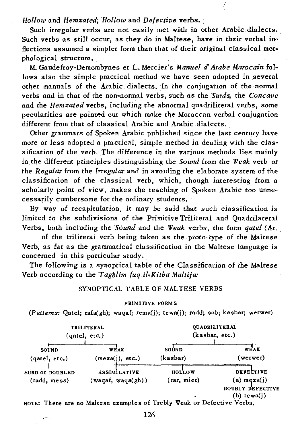*Hollow* and *Hemzated; Hollow* and *Defective* verbs. :

Such irregular verbs are not easily met with in other Arabic dialects. Such verbs as still occur, as they do in Maltese, have in their verbal inflections assumed a simpler form than that of their original classical morphological structure.

M. Gaudefroy-Demombynes et L. Mercier's *Manuel d' Arabe Marocain* follows also the simple practical method we have seen adopted in several other manuals of the Arabic dialects. In the conjugation of the normal verbs and in that of the non-normal verbs, such as the *Surds,* the *Concave*  and the *Hemzated* verbs, including the abnormal quadriliteral verbs, some pecularities are pointed out which make the Moroccan verbal conjugation different from that of classical Arabic and Arabic dialects.

Other grammars of Spoken Arabic published since the last century have more or less adopted a practical, simple method in dealing with the classification of the verb. The difference in the various methods lies mainly in the different principles distinguishing the *Sound* from the *Weak* verb or the *Regular* from the *Irregular* and in avoiding the elaborate system of the classification of the classical verb, which, though interesting from a scholarly point of view, makes the teaching of Spoken Arabic too unnecessarily cumbersome for the ordinary students.

By way of recapitulation, it may be said that such classification is limited to the subdivisions of the Primitive Triliteral and Quadrilateral Verbs, both including the *Sound* and the *Weak* verbs, the form *qatel* (Ar. :

of the triliteral verb being taken as the proto-type of the Maltese Verb, as far as the grammatical classification in the Maltese language is concerned in this particular study.

The following is a synoptical table of the Classification of the Maltese Verb according to the *Tagblim fuq il-Kitba Maltija:* 

### SYNOPTICAL TABLE OF MALTESE VERBS

#### PRIMITIVE FORMS

(Patterns: Qatel; rafa(gh), waqaf; rema(j); tewa(j); radd; sab; kasbar, werwer)

| TRILITERAL                             |                                         | <b>OUADRILITERAL</b>         |                                                                              |
|----------------------------------------|-----------------------------------------|------------------------------|------------------------------------------------------------------------------|
| (gatel, etc.)                          |                                         | (kasbar, etc.)               |                                                                              |
| SOUND                                  | WEAK                                    | SOUND                        | WEAK                                                                         |
| (gatel, etc.)                          | (mexa(i), etc.)                         | (kasbar)                     | (werwer)                                                                     |
| <b>SURD OF DOUBLED</b><br>(radd, mess) | <b>ASSIMILATIVE</b><br>(waqaf, waa(qh)) | <b>HOLLOW</b><br>(tar, miet) | <b>DEFECTIVE</b><br>$(a)$ mexa $(i)$<br>DOUBLY DEFECTIVE<br>$(b)$ tewa $(i)$ |

NOTE: There are no Maltese examples of Trebly Weak or Defective Verbs.

وبصيح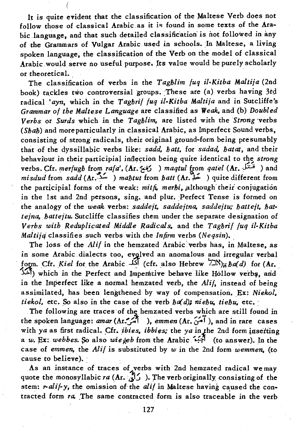It is quite evident that the classification of the Maltese Verb does not follow those of classical Arabic as it is found in some texts of the Arabic language, and that such detailed classification is not followed in any of the Grammars of Vulgar Arabic used in schools. In Maltese, a living spoken language, the classification of the Verb on the model of classical Arabic would serve no useful purpose. Its value would be purely scholarly or theoretical.

The classification of verbs in the *Tagblim fuq il-Kitba Maltija* (2nd book) tackles two controversial groups. These are (a) verbs having 3rd radical *'ayn,* which in the *Tagbrif fuq il6Kitba Maltija* and in Sutcliffe's *Grammar of the Maltese Language* are classified as *Weak,* and (b) *Doubled Verbs* or *Surds* which in the *Tagblim,* are listed with the *Strong* 'verbs *(Sbab)* and more particularly in classical Arabic, as Imperfect Sound verbs, consisting of strong radicals, their original ground-form being presumably that of the ,dyssillabic verbs like: *sadd, batt,* for *sadad. batat,* and their behaviour in their participial inflection being quite identical to the *strong* verbs. Cfr. *merfugb* from *rafa'*, (Ar.  $\leq 0$ ) *maqtul* from *qatel* (Ar.  $\leq 0$ ) and *misdud* from *sadd* (Ar.~~ ) *mabtut* from *batt* (Ar.;; ) quite different from the participial forms of the weak: mith, merbi, although their conjugation in the 1st and 2nd persons, sing, and plur. Perfect Tense is formed on the analogy of the *weak* verbs: *saddejt. saddejtna, saddejtu: battejt, battejna. battejtu.* Sutcliffe classifies them under the separate designation of *Verbs with Reduplicated Middle Radicals,* and the *Tagbrif fuq il-Kitba Maltiid* classifies such verbs with the *Infirm* verbs *(Neqsin)*.

The loss of the *Alif* in the hemzated Arabic' verbs has, in Maltese, as in some Arabic dialects too, evolved an anomalous and irregular verbal form. Cfr. *Kiel* for the Arabic  $\widehat{M}$  (cfr. also Hebrew  $\sum_{k}^{N}$ ); ba(d) for (Ar. ~1) which in the Perfect and Impedttivebehave like Hollow verb,. arid in the Imperfect like a normal hemzated verb, the *Alif,* instead of being assimilated, has been lengthened by way of compensation. Ex: Niekol. *tiekol,* etc. So also in the case of the verb *ba(d); niebu. tiebu,* etc.:

The following are traces of the hemzated verbs which are still found in the spoken language: *amar* (Ar.  $\hat{f}$ ), *emmen* (Ar.  $\hat{f}$ ), and in rare cases with *ya* as first radical. Cfr. *ibies*, *ibbies*; the *ya* in the 2nd form insetting a *w.* Ex: *webbes.* ~ also *wiegeb* from the Arabic ... ..;;I (to answer). In the case of *emmen*, the *Alif* is substituted by *w* in the 2nd form *wemmen*, (to cause to believe).

As an instance of traces of verbs with 2nd hemzated radical we may quote the monosyllabic *ra* (Ar.  $\hat{B}$ ). The verb originally consisting of the stem: *r-alif-y*, the omission of the *alif* in Maltese having caused the contracted form ra. The same contracted form is also traceable in the verb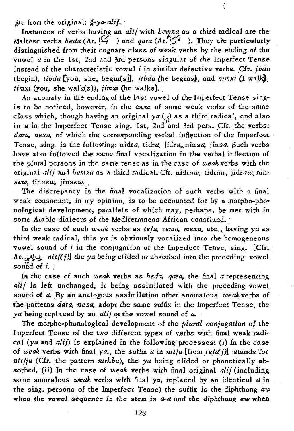*ie* from the original:  $\frac{\partial}{\partial y} \cdot y \cdot a \cdot \frac{\partial}{\partial z} f$ .

Instances of verbs having an *alii* with *hemza* as a third radical are the Maltese verbs *beda* (Ar. المَسْرِ ) and *qara* (Ar.<sup>11</sup>/<sub>2</sub><sup>2</sup>). They are particularly distinguished from their cognate class of weak verbs by the ehding of the vowel *a* in the 1st, 2nd and 3rd persons singular of the Imperfect Tense instead of the characteristic vowel *i* in similar defective verbs. Cfr •*. ibda*  (begin), *tibda*  $\lceil \text{you} \rceil$ , she, begin(s), *jibda* (he begins), and *nimxi* (I walk), *timxi* (you, she walk(s)), *jimxi* (he walks).

An anomaly in the ending of the last vowel of the Imperfect Tense sing~ *is* to be noticed, however, in the case of some weak verbs of the same class which, though having an original *ya* (5) as a third radical, end also in  $a$  in the Imperfect Tense sing. 1st, 2nd and 3rd pers. Cfr. the verbs: dara, nesa, of which the corresponding verbal inflection of the Imperfect Tense, sing. is the following: nidra, tidra, jidra,. ninsa, jinsa. Such verbs have also followed the same final vocalization in the verbal inflection of the plural persons in the same tense as in the case of *weak* verbs with the original *alif* and *hemza* as a third radical. Cfr. nidraw, *tidraw, jidraw;* nino *sew, tinsew. jinsew. ,* 

The discrepancy in the final vocalization of such verbs with a final weak consonant, in my opinion, is to be accounted for by a morpho-phonological development, parallels of which may, perhaps, be met with in some Arabic dialects of the Mediterranean African coastland.

In the case of such *weak* verbs as *tefa*, rema, mexa, etc., having ya as third weak radical, this *ya* is obviously vocalized into the homogeneous vowel sound of *i* in the conjugation of the Imperfect Tense, sing. [Cfr. · Ar.~ *nitf(j)]* the *ya* being elided or absorbed into the preceding vowel sound of  $i$ .

In the case of such *weak* verbs as *beda, qara,* the final *a* representing alif is left unchanged, it being assimilated with the preceding vowel sound of a. By an analogous assimilation other anomalous *weak* verbs of the patterns *dara*, nesa, adopt the same suffix in the Imperfect Tense, the *ya* being replaced by an *alif* or the vowel sound of a.

The morpho-phonological development of the *plural conjugation* of the Imperfect Tense of the two different types of verbs with final weak radical (ya and *alif*) is explained in the following processes: (i) In the case of weak verbs with final ya:, the suffix  $u$  in  $nit/u$  [from  $te[a(j)]$  stands for *nitfju* (Cfr. the pattern *nirkbu*), the *ya* being elided or phonetically absorbed. (ii) In the case of *weak* verbs with final original *alif* (including some anomalous *weak* verbs with final *ya,* replaced by an identical a in the sing. persons of the Imperfect Tense) the suffix is the diphthong *aw*  when the vowel sequence in the stem is  $a-a$  and the diphthong *ew* when